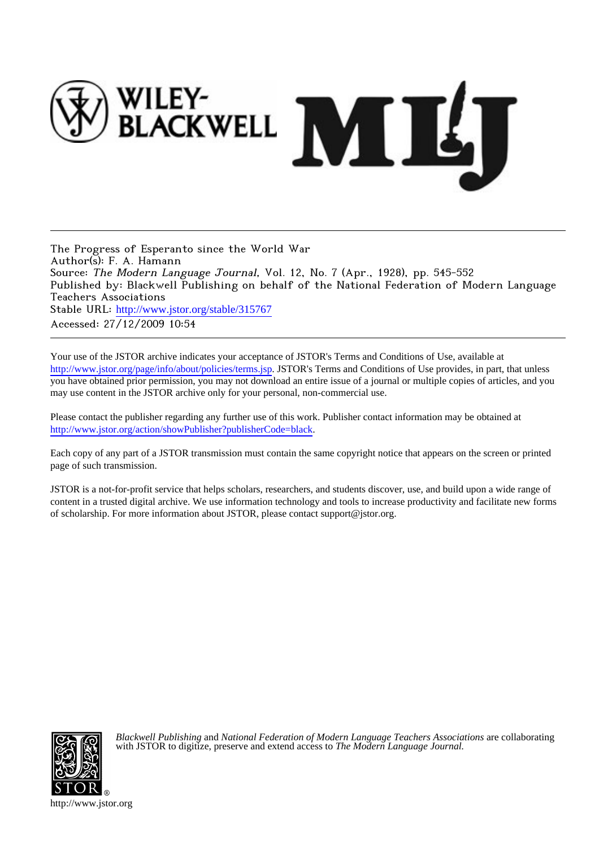

The Progress of Esperanto since the World War Author(s): F. A. Hamann Source: The Modern Language Journal, Vol. 12, No. 7 (Apr., 1928), pp. 545-552 Published by: Blackwell Publishing on behalf of the National Federation of Modern Language Teachers Associations Stable URL: [http://www.jstor.org/stable/315767](http://www.jstor.org/stable/315767?origin=JSTOR-pdf) Accessed: 27/12/2009 10:54

Your use of the JSTOR archive indicates your acceptance of JSTOR's Terms and Conditions of Use, available at <http://www.jstor.org/page/info/about/policies/terms.jsp>. JSTOR's Terms and Conditions of Use provides, in part, that unless you have obtained prior permission, you may not download an entire issue of a journal or multiple copies of articles, and you may use content in the JSTOR archive only for your personal, non-commercial use.

Please contact the publisher regarding any further use of this work. Publisher contact information may be obtained at [http://www.jstor.org/action/showPublisher?publisherCode=black.](http://www.jstor.org/action/showPublisher?publisherCode=black)

Each copy of any part of a JSTOR transmission must contain the same copyright notice that appears on the screen or printed page of such transmission.

JSTOR is a not-for-profit service that helps scholars, researchers, and students discover, use, and build upon a wide range of content in a trusted digital archive. We use information technology and tools to increase productivity and facilitate new forms of scholarship. For more information about JSTOR, please contact support@jstor.org.



*Blackwell Publishing* and *National Federation of Modern Language Teachers Associations* are collaborating with JSTOR to digitize, preserve and extend access to *The Modern Language Journal.*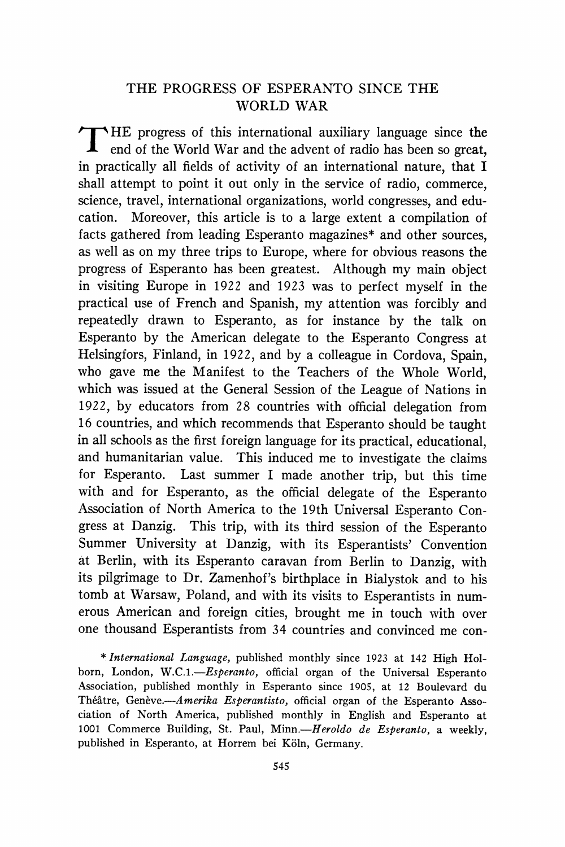## **THE PROGRESS OF ESPERANTO SINCE THE WORLD WAR**

**THE progress of this international auxiliary language since the end of the World War and the advent of radio has been so great, in practically all fields of activity of an international nature, that I shall attempt to point it out only in the service of radio, commerce, science, travel, international organizations, world congresses, and education. Moreover, this article is to a large extent a compilation of facts gathered from leading Esperanto magazines\* and other sources, as well as on my three trips to Europe, where for obvious reasons the progress of Esperanto has been greatest. Although my main object in visiting Europe in 1922 and 1923 was to perfect myself in the practical use of French and Spanish, my attention was forcibly and repeatedly drawn to Esperanto, as for instance by the talk on Esperanto by the American delegate to the Esperanto Congress at Helsingfors, Finland, in 1922, and by a colleague in Cordova, Spain, who gave me the Manifest to the Teachers of the Whole World, which was issued at the General Session of the League of Nations in 1922, by educators from 28 countries with official delegation from 16 countries, and which recommends that Esperanto should be taught in all schools as the first foreign language for its practical, educational, and humanitarian value. This induced me to investigate the claims for Esperanto. Last summer I made another trip, but this time with and for Esperanto, as the official delegate of the Esperanto Association of North America to the 19th Universal Esperanto Congress at Danzig. This trip, with its third session of the Esperanto Summer University at Danzig, with its Esperantists' Convention at Berlin, with its Esperanto caravan from Berlin to Danzig, with its pilgrimage to Dr. Zamenhof's birthplace in Bialystok and to his tomb at Warsaw, Poland, and with its visits to Esperantists in numerous American and foreign cities, brought me in touch with over one thousand Esperantists from 34 countries and convinced me con-** 

**\* International Language, published monthly since 1923 at 142 High Holborn, London, W.C.l.-Esperanto, official organ of the Universal Esperanto Association, published monthly in Esperanto since 1905, at 12 Boulevard du**  Théâtre, Genève.<sup>--</sup>Amerika Esperantisto, official organ of the Esperanto Asso**ciation of North America, published monthly in English and Esperanto at**  1001 Commerce Building, St. Paul, Minn.-*-Heroldo de Esperanto*, a weekly, published in Esperanto, at Horrem bei Köln, Germany.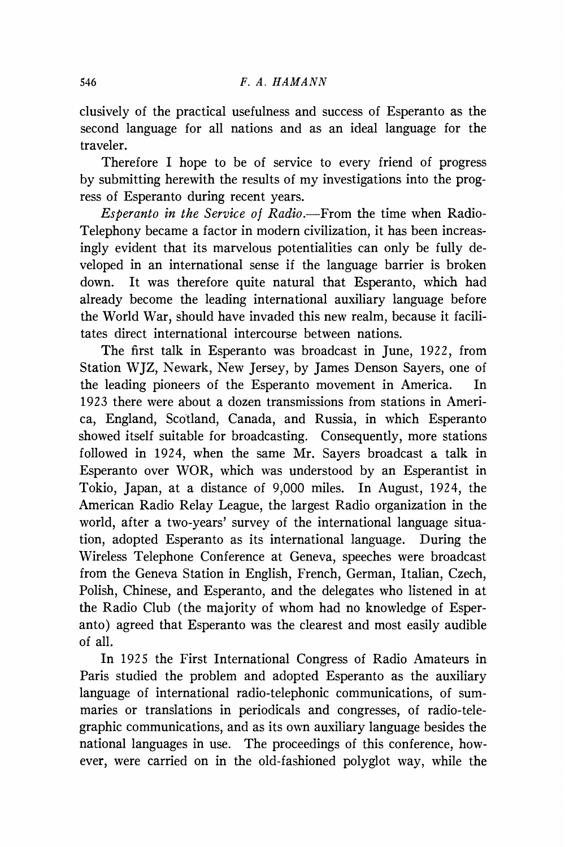**clusively of the practical usefulness and success of Esperanto as the second language for all nations and as an ideal language for the traveler.** 

**Therefore I hope to be of service to every friend of progress by submitting herewith the results of my investigations into the progress of Esperanto during recent years.** 

Esperanto in the Service of Radio.—From the time when Radio-**Telephony became a factor in modern civilization, it has been increasingly evident that its marvelous potentialities can only be fully developed in an international sense if the language barrier is broken down. It was therefore quite natural that Esperanto, which had already become the leading international auxiliary language before the World War, should have invaded this new realm, because it facilitates direct international intercourse between nations.** 

**The first talk in Esperanto was broadcast in June, 1922, from Station WJZ, Newark, New Jersey, by James Denson Sayers, one of**  the leading pioneers of the Esperanto movement in America. **1923 there were about a dozen transmissions from stations in America, England, Scotland, Canada, and Russia, in which Esperanto showed itself suitable for broadcasting. Consequently, more stations followed in 1924, when the same Mr. Sayers broadcast a talk in Esperanto over WOR, which was understood by an Esperantist in Tokio, Japan, at a distance of 9,000 miles. In August, 1924, the American Radio Relay League, the largest Radio organization in the world, after a two-years' survey of the international language situation, adopted Esperanto as its international language. During the Wireless Telephone Conference at Geneva, speeches were broadcast from the Geneva Station in English, French, German, Italian, Czech, Polish, Chinese, and Esperanto, and the delegates who listened in at the Radio Club (the majority of whom had no knowledge of Esperanto) agreed that Esperanto was the clearest and most easily audible of all.** 

**In 1925 the First International Congress of Radio Amateurs in Paris studied the problem and adopted Esperanto as the auxiliary language of international radio-telephonic communications, of summaries or translations in periodicals and congresses, of radio-telegraphic communications, and as its own auxiliary language besides the national languages in use. The proceedings of this conference, however, were carried on in the old-fashioned polyglot way, while the**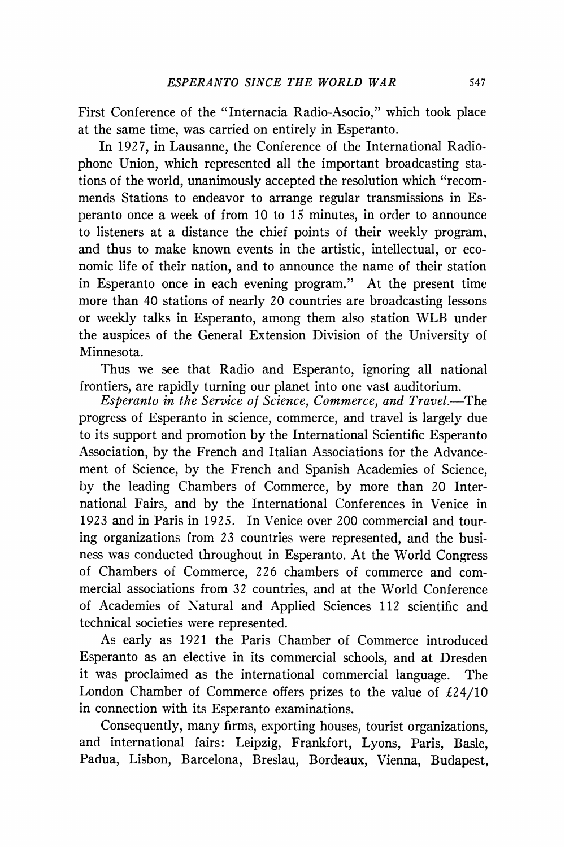**First Conference of the "Internacia Radio-Asocio," which took place at the same time, was carried on entirely in Esperanto.** 

**In 1927, in Lausanne, the Conference of the International Radiophone Union, which represented all the important broadcasting stations of the world, unanimously accepted the resolution which "recommends Stations to endeavor to arrange regular transmissions in Esperanto once a week of from 10 to 15 minutes, in order to announce to listeners at a distance the chief points of their weekly program, and thus to make known events in the artistic, intellectual, or economic life of their nation, and to announce the name of their station in Esperanto once in each evening program." At the present time more than 40 stations of nearly 20 countries are broadcasting lessons or weekly talks in Esperanto, among them also station WLB under the auspices of the General Extension Division of the University of Minnesota.** 

**Thus we see that Radio and Esperanto, ignoring all national frontiers, are rapidly turning our planet into one vast auditorium.** 

**Esperanto in the Service of Science, Commerce, and Travel.-The progress of Esperanto in science, commerce, and travel is largely due to its support and promotion by the International Scientific Esperanto Association, by the French and Italian Associations for the Advancement of Science, by the French and Spanish Academies of Science, by the leading Chambers of Commerce, by more than 20 International Fairs, and by the International Conferences in Venice in 1923 and in Paris in 1925. In Venice over 200 commercial and touring organizations from 23 countries were represented, and the business was conducted throughout in Esperanto. At the World Congress of Chambers of Commerce, 226 chambers of commerce and commercial associations from 32 countries, and at the World Conference of Academies of Natural and Applied Sciences 112 scientific and technical societies were represented.** 

**As early as 1921 the Paris Chamber of Commerce introduced Esperanto as an elective in its commercial schools, and at Dresden it was proclaimed as the international commercial language. The**  London Chamber of Commerce offers prizes to the value of £24/10 **in connection with its Esperanto examinations.** 

**Consequently, many firms, exporting houses, tourist organizations, and international fairs: Leipzig, Frankfort, Lyons, Paris, Basle, Padua, Lisbon, Barcelona, Breslau, Bordeaux, Vienna, Budapest,**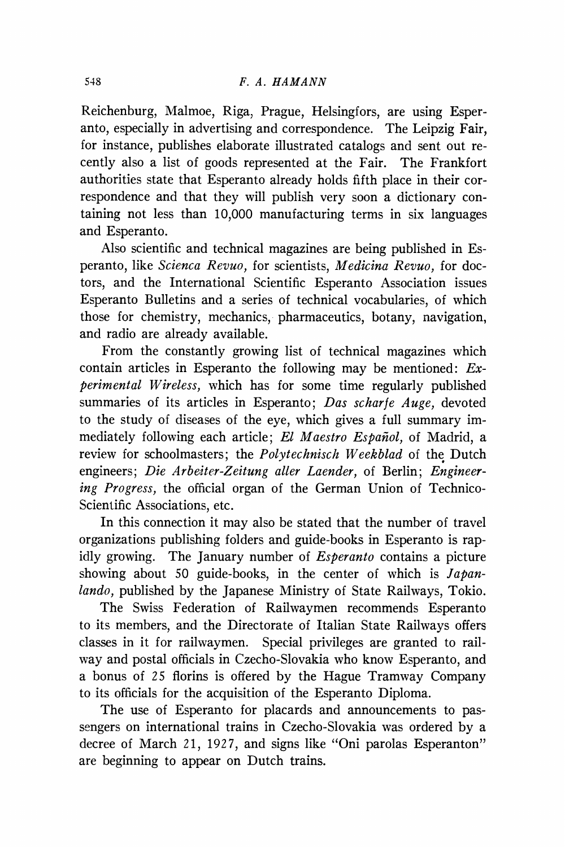**Reichenburg, Malmoe, Riga, Prague, Helsingfors, are using Esperanto, especially in advertising and correspondence. The Leipzig Fair, for instance, publishes elaborate illustrated catalogs and sent out recently also a list of goods represented at the Fair. The Frankfort authorities state that Esperanto already holds fifth place in their correspondence and that they will publish very soon a dictionary containing not less than 10,000 manufacturing terms in six languages and Esperanto.** 

**Also scientific and technical magazines are being published in Esperanto, like Scienca Revuo, for scientists, Medicina Revuo, for doctors, and the International Scientific Esperanto Association issues Esperanto Bulletins and a series of technical vocabularies, of which those for chemistry, mechanics, pharmaceutics, botany, navigation, and radio are already available.** 

**From the constantly growing list of technical magazines which contain articles in Esperanto the following may be mentioned: Experimental Wireless, which has for some time regularly published summaries of its articles in Esperanto; Das scharfe Auge, devoted to the study of diseases of the eye, which gives a full summary immediately following each article; El Maestro Espaiol, of Madrid, a review for schoolmasters; the Polytechnisch Weekblad of the Dutch engineers; Die Arbeiter-Zeitung aller Laender, of Berlin; Engineering Progress, the official organ of the German Union of Technico-Scientific Associations, etc.** 

**In this connection it may also be stated that the number of travel organizations publishing folders and guide-books in Esperanto is rapidly growing. The January number of Esperanto contains a picture**  showing about 50 guide-books, in the center of which is *Japan***lando, published by the Japanese Ministry of State Railways, Tokio.** 

**The Swiss Federation of Railwaymen recommends Esperanto to its members, and the Directorate of Italian State Railways offers classes in it for railwaymen. Special privileges are granted to railway and postal officials in Czecho-Slovakia who know Esperanto, and a bonus of 25 florins is offered by the Hague Tramway Company to its officials for the acquisition of the Esperanto Diploma.** 

**The use of Esperanto for placards and announcements to passengers on international trains in Czecho-Slovakia was ordered by a decree of March 21, 1927, and signs like "Oni parolas Esperanton" are beginning to appear on Dutch trains.**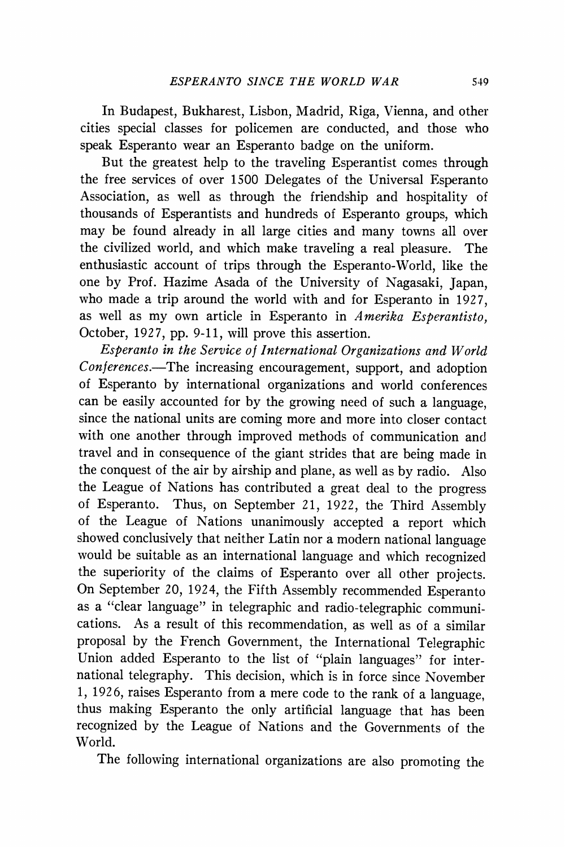**In Budapest, Bukharest, Lisbon, Madrid, Riga, Vienna, and other cities special classes for policemen are conducted, and those who speak Esperanto wear an Esperanto badge on the uniform.** 

**But the greatest help to the traveling Esperantist comes through the free services of over 1500 Delegates of the Universal Esperanto Association, as well as through the friendship and hospitality of thousands of Esperantists and hundreds of Esperanto groups, which may be found already in all large cities and many towns all over**  the civilized world, and which make traveling a real pleasure. **enthusiastic account of trips through the Esperanto-World, like the one by Prof. Hazime Asada of the University of Nagasaki, Japan, who made a trip around the world with and for Esperanto in 1927, as well as my own article in Esperanto in Amerika Esperantisto, October, 1927, pp. 9-11, will prove this assertion.** 

**Esperanto in the Service of International Organizations and World Conferences.-The increasing encouragement, support, and adoption of Esperanto by international organizations and world conferences can be easily accounted for by the growing need of such a language, since the national units are coming more and more into closer contact with one another through improved methods of communication and travel and in consequence of the giant strides that are being made in the conquest of the air by airship and plane, as well as by radio. Also the League of Nations has contributed a great deal to the progress of Esperanto. Thus, on September 21, 1922, the Third Assembly of the League of Nations unanimously accepted a report which showed conclusively that neither Latin nor a modern national language would be suitable as an international language and which recognized the superiority of the claims of Esperanto over all other projects. On September 20, 1924, the Fifth Assembly recommended Esperanto as a "clear language" in telegraphic and radio-telegraphic communications. As a result of this recommendation, as well as of a similar proposal by the French Government, the International Telegraphic Union added Esperanto to the list of "plain languages" for international telegraphy. This decision, which is in force since November 1, 1926, raises Esperanto from a mere code to the rank of a language, thus making Esperanto the only artificial language that has been recognized by the League of Nations and the Governments of the World.** 

**The following international organizations are also promoting the**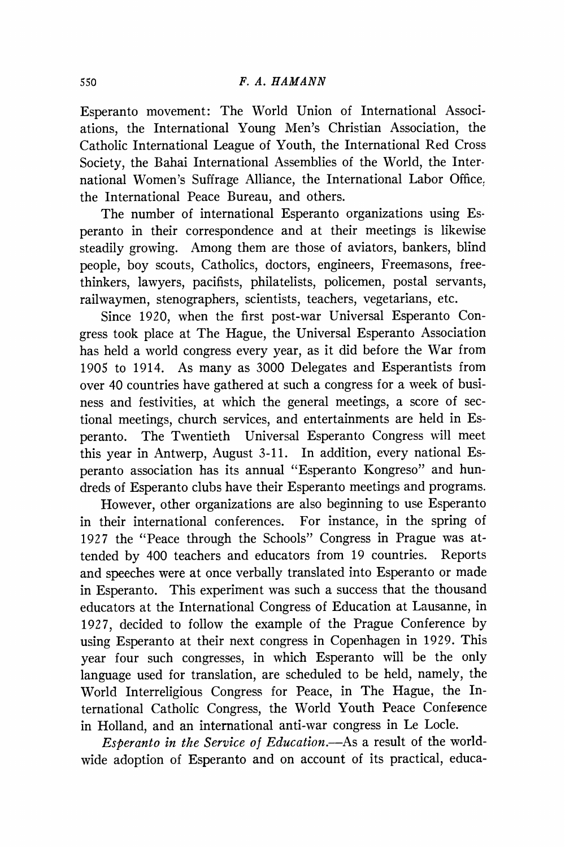**Esperanto movement: The World Union of International Associations, the International Young Men's Christian Association, the Catholic International League of Youth, the International Red Cross Society, the Bahai International Assemblies of the World, the International Women's Suffrage Alliance, the International Labor Office, the International Peace Bureau, and others.** 

**The number of international Esperanto organizations using Esperanto in their correspondence and at their meetings is likewise steadily growing. Among them are those of aviators, bankers, blind people, boy scouts, Catholics, doctors, engineers, Freemasons, freethinkers, lawyers, pacifists, philatelists, policemen, postal servants, railwaymen, stenographers, scientists, teachers, vegetarians, etc.** 

**Since 1920, when the first post-war Universal Esperanto Congress took place at The Hague, the Universal Esperanto Association has held a world congress every year, as it did before the War from 1905 to 1914. As many as 3000 Delegates and Esperantists from over 40 countries have gathered at such a congress for a week of business and festivities, at which the general meetings, a score of sectional meetings, church services, and entertainments are held in Esperanto. The Twentieth Universal Esperanto Congress will meet this year in Antwerp, August 3-11. In addition, every national Esperanto association has its annual "Esperanto Kongreso" and hundreds of Esperanto clubs have their Esperanto meetings and programs.** 

**However, other organizations are also beginning to use Esperanto in their international conferences. For instance, in the spring of 1927 the "Peace through the Schools" Congress in Prague was attended by 400 teachers and educators from 19 countries. Reports and speeches were at once verbally translated into Esperanto or made in Esperanto. This experiment was such a success that the thousand educators at the International Congress of Education at Lausanne, in 1927, decided to follow the example of the Prague Conference by using Esperanto at their next congress in Copenhagen in 1929. This year four such congresses, in which Esperanto will be the only language used for translation, are scheduled to be held, namely, the World Interreligious Congress for Peace, in The Hague, the International Catholic Congress, the World Youth Peace Conference in Holland, and an international anti-war congress in Le Locle.** 

Esperanto in the Service of Education.—As a result of the world**wide adoption of Esperanto and on account of its practical, educa-**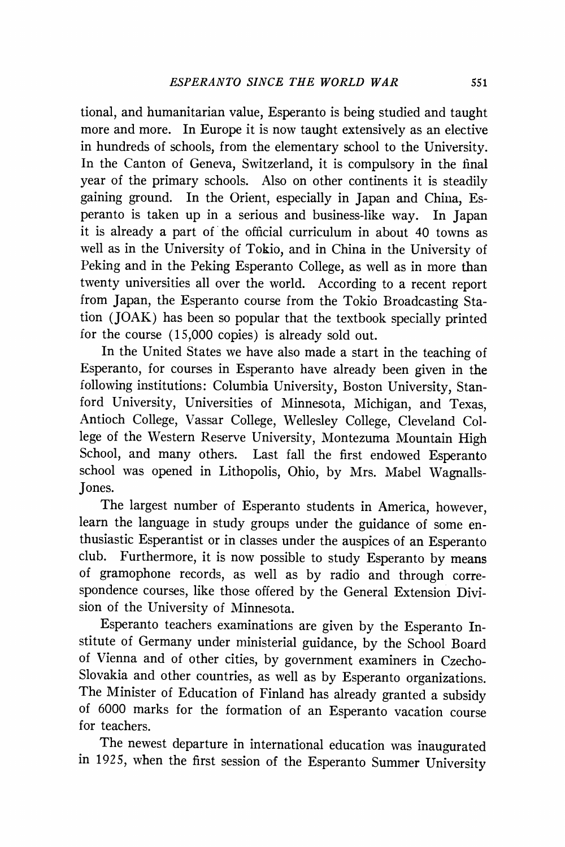**tional, and humanitarian value, Esperanto is being studied and taught more and more. In Europe it is now taught extensively as an elective in hundreds of schools, from the elementary school to the University. In the Canton of Geneva, Switzerland, it is compulsory in the final year of the primary schools. Also on other continents it is steadily gaining ground. In the Orient, especially in Japan and China, Esperanto is taken up in a serious and business-like way. In Japan it is already a part of the official curriculum in about 40 towns as well as in the University of Tokio, and in China in the University of Peking and in the Peking Esperanto College, as well as in more than twenty universities all over the world. According to a recent report from Japan, the Esperanto course from the Tokio Broadcasting Station (JOAK) has been so popular that the textbook specially printed for the course (15,000 copies) is already sold out.** 

**In the United States we have also made a start in the teaching of Esperanto, for courses in Esperanto have already been given in the following institutions: Columbia University, Boston University, Stanford University, Universities of Minnesota, Michigan, and Texas, Antioch College, Vassar College, Wellesley College, Cleveland College of the Western Reserve University, Montezuma Mountain High School, and many others. Last fall the first endowed Esperanto school was opened in Lithopolis, Ohio, by Mrs. Mabel Wagnalls-Jones.** 

**The largest number of Esperanto students in America, however, learn the language in study groups under the guidance of some enthusiastic Esperantist or in classes under the auspices of an Esperanto club. Furthermore, it is now possible to study Esperanto by means of gramophone records, as well as by radio and through correspondence courses, like those offered by the General Extension Division of the University of Minnesota.** 

**Esperanto teachers examinations are given by the Esperanto Institute of Germany under ministerial guidance, by the School Board of Vienna and of other cities, by government examiners in Czecho-Slovakia and other countries, as well as by Esperanto organizations. The Minister of Education of Finland has already granted a subsidy of 6000 marks for the formation of an Esperanto vacation course for teachers.** 

**The newest departure in international education was inaugurated in 1925, when the first session of the Esperanto Summer University**